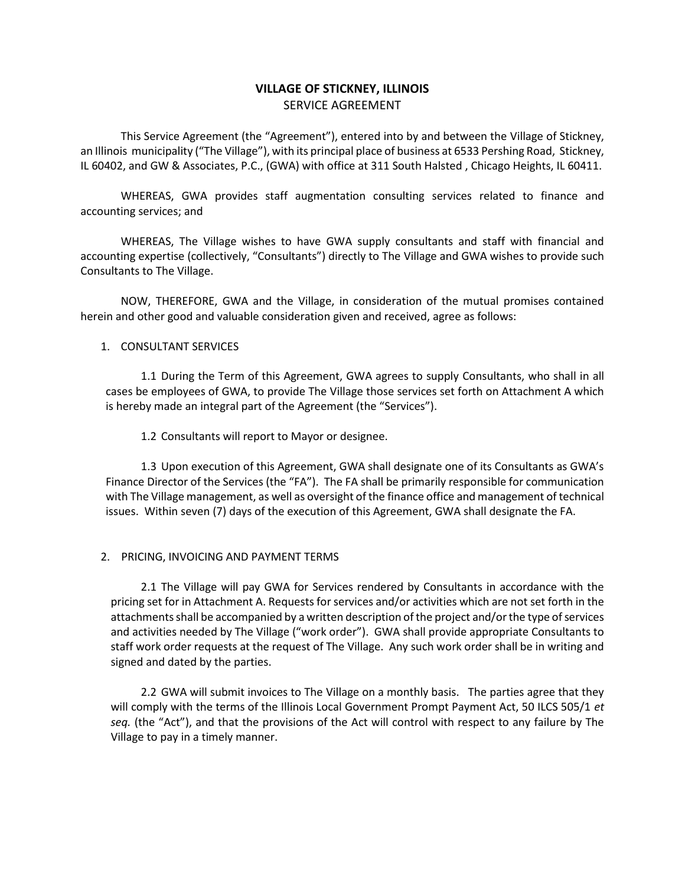# **VILLAGE OF STICKNEY, ILLINOIS** SERVICE AGREEMENT

This Service Agreement (the "Agreement"), entered into by and between the Village of Stickney, an Illinois municipality ("The Village"), with its principal place of business at 6533 Pershing Road, Stickney, IL 60402, and GW & Associates, P.C., (GWA) with office at 311 South Halsted , Chicago Heights, IL 60411.

WHEREAS, GWA provides staff augmentation consulting services related to finance and accounting services; and

WHEREAS, The Village wishes to have GWA supply consultants and staff with financial and accounting expertise (collectively, "Consultants") directly to The Village and GWA wishes to provide such Consultants to The Village.

NOW, THEREFORE, GWA and the Village, in consideration of the mutual promises contained herein and other good and valuable consideration given and received, agree as follows:

## 1. CONSULTANT SERVICES

1.1 During the Term of this Agreement, GWA agrees to supply Consultants, who shall in all cases be employees of GWA, to provide The Village those services set forth on Attachment A which is hereby made an integral part of the Agreement (the "Services").

1.2 Consultants will report to Mayor or designee.

1.3 Upon execution of this Agreement, GWA shall designate one of its Consultants as GWA's Finance Director of the Services (the "FA"). The FA shall be primarily responsible for communication with The Village management, as well as oversight of the finance office and management of technical issues. Within seven (7) days of the execution of this Agreement, GWA shall designate the FA.

### 2. PRICING, INVOICING AND PAYMENT TERMS

2.1 The Village will pay GWA for Services rendered by Consultants in accordance with the pricing set for in Attachment A. Requests for services and/or activities which are not set forth in the attachments shall be accompanied by a written description of the project and/or the type of services and activities needed by The Village ("work order"). GWA shall provide appropriate Consultants to staff work order requests at the request of The Village. Any such work order shall be in writing and signed and dated by the parties.

2.2 GWA will submit invoices to The Village on a monthly basis. The parties agree that they will comply with the terms of the Illinois Local Government Prompt Payment Act, 50 ILCS 505/1 *et seq.* (the "Act"), and that the provisions of the Act will control with respect to any failure by The Village to pay in a timely manner.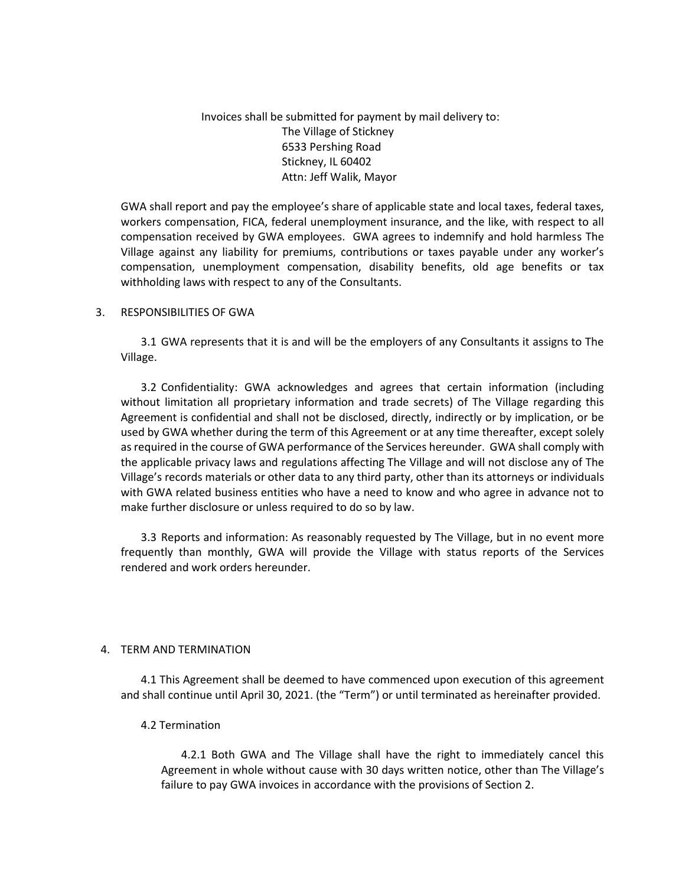Invoices shall be submitted for payment by mail delivery to: The Village of Stickney 6533 Pershing Road Stickney, IL 60402 Attn: Jeff Walik, Mayor

GWA shall report and pay the employee's share of applicable state and local taxes, federal taxes, workers compensation, FICA, federal unemployment insurance, and the like, with respect to all compensation received by GWA employees. GWA agrees to indemnify and hold harmless The Village against any liability for premiums, contributions or taxes payable under any worker's compensation, unemployment compensation, disability benefits, old age benefits or tax withholding laws with respect to any of the Consultants.

### 3. RESPONSIBILITIES OF GWA

3.1 GWA represents that it is and will be the employers of any Consultants it assigns to The Village.

3.2 Confidentiality: GWA acknowledges and agrees that certain information (including without limitation all proprietary information and trade secrets) of The Village regarding this Agreement is confidential and shall not be disclosed, directly, indirectly or by implication, or be used by GWA whether during the term of this Agreement or at any time thereafter, except solely as required in the course of GWA performance of the Services hereunder. GWA shall comply with the applicable privacy laws and regulations affecting The Village and will not disclose any of The Village's records materials or other data to any third party, other than its attorneys or individuals with GWA related business entities who have a need to know and who agree in advance not to make further disclosure or unless required to do so by law.

3.3 Reports and information: As reasonably requested by The Village, but in no event more frequently than monthly, GWA will provide the Village with status reports of the Services rendered and work orders hereunder.

### 4. TERM AND TERMINATION

4.1 This Agreement shall be deemed to have commenced upon execution of this agreement and shall continue until April 30, 2021. (the "Term") or until terminated as hereinafter provided.

### 4.2 Termination

4.2.1 Both GWA and The Village shall have the right to immediately cancel this Agreement in whole without cause with 30 days written notice, other than The Village's failure to pay GWA invoices in accordance with the provisions of Section 2.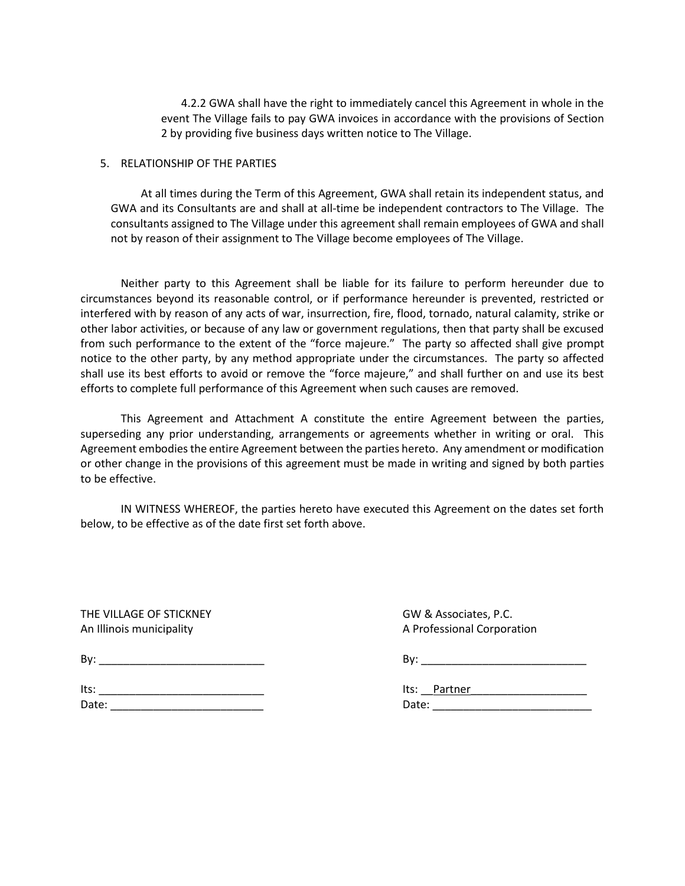4.2.2 GWA shall have the right to immediately cancel this Agreement in whole in the event The Village fails to pay GWA invoices in accordance with the provisions of Section 2 by providing five business days written notice to The Village.

### 5. RELATIONSHIP OF THE PARTIES

At all times during the Term of this Agreement, GWA shall retain its independent status, and GWA and its Consultants are and shall at all-time be independent contractors to The Village. The consultants assigned to The Village under this agreement shall remain employees of GWA and shall not by reason of their assignment to The Village become employees of The Village.

Neither party to this Agreement shall be liable for its failure to perform hereunder due to circumstances beyond its reasonable control, or if performance hereunder is prevented, restricted or interfered with by reason of any acts of war, insurrection, fire, flood, tornado, natural calamity, strike or other labor activities, or because of any law or government regulations, then that party shall be excused from such performance to the extent of the "force majeure." The party so affected shall give prompt notice to the other party, by any method appropriate under the circumstances. The party so affected shall use its best efforts to avoid or remove the "force majeure," and shall further on and use its best efforts to complete full performance of this Agreement when such causes are removed.

This Agreement and Attachment A constitute the entire Agreement between the parties, superseding any prior understanding, arrangements or agreements whether in writing or oral. This Agreement embodies the entire Agreement between the parties hereto. Any amendment or modification or other change in the provisions of this agreement must be made in writing and signed by both parties to be effective.

IN WITNESS WHEREOF, the parties hereto have executed this Agreement on the dates set forth below, to be effective as of the date first set forth above.

THE VILLAGE OF STICKNEY GW & Associates, P.C.

An Illinois municipality and the A Professional Corporation Corporation

| Bv: |  |  |  |  |
|-----|--|--|--|--|
|     |  |  |  |  |
|     |  |  |  |  |

| ts:  |  |  |  |
|------|--|--|--|
| ater |  |  |  |

Its: \_\_\_\_\_\_\_\_\_\_\_\_\_\_\_\_\_\_\_\_\_\_\_\_\_\_\_ Its: \_\_Partner\_\_\_\_\_\_\_\_\_\_\_\_\_\_\_\_\_\_\_ Date: \_\_\_\_\_\_\_\_\_\_\_\_\_\_\_\_\_\_\_\_\_\_\_\_\_ Date: \_\_\_\_\_\_\_\_\_\_\_\_\_\_\_\_\_\_\_\_\_\_\_\_\_\_

 $\mathsf{By:}$